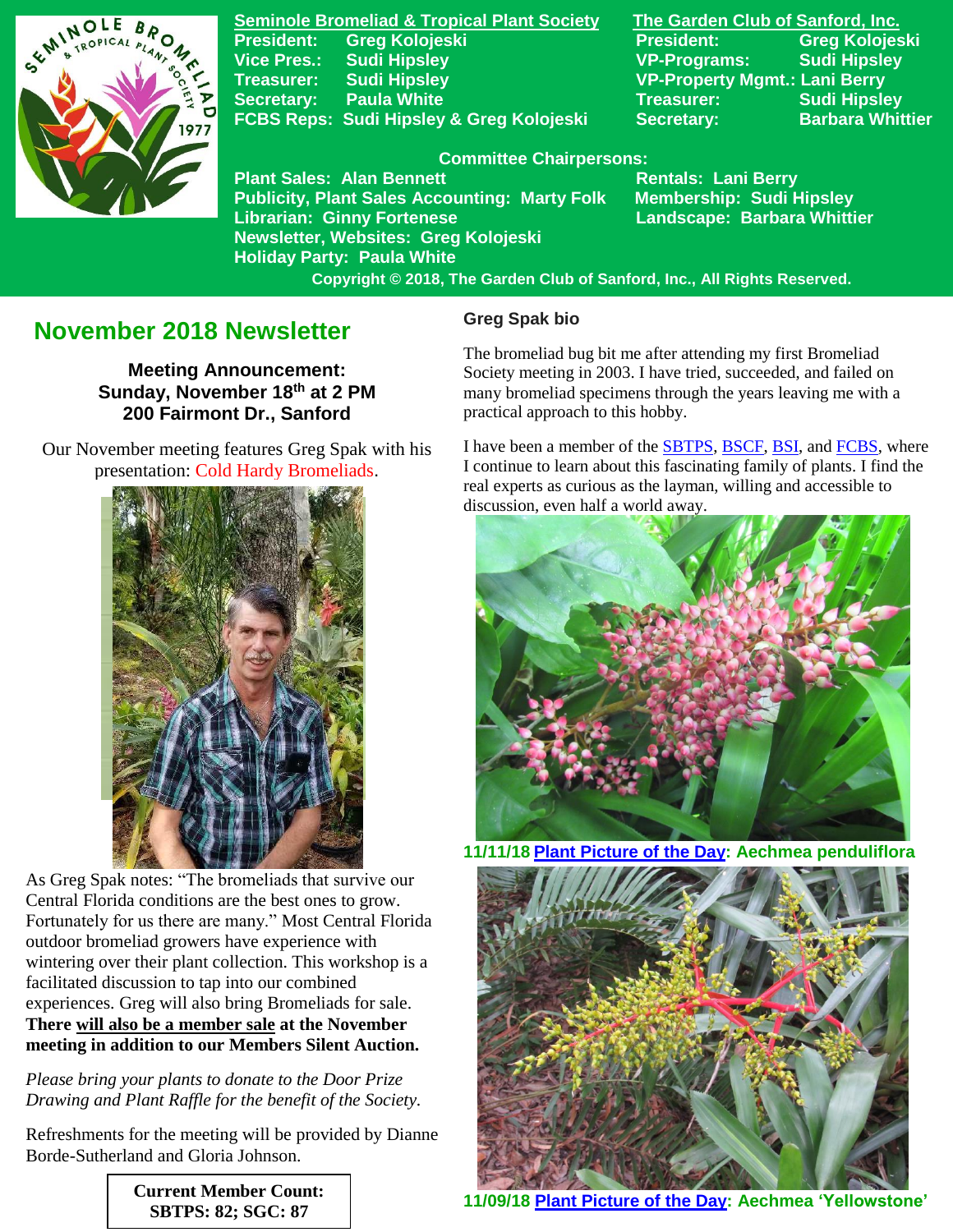

**Seminole Bromeliad & Tropical Plant Society The Garden Club of Sanford, Inc. President: Greg Kolojeski President: Greg Kolojeski Vice Pres.: Sudi Hipsley VP-Programs: Sudi Hipsley Treasurer: Sudi Hipsley VP-Property Mgmt.: Lani Berry Secretary:** Paula White **Network Secretary:** Sudi Hipsley FCBS Reps: Sudi Hipsley & Greg Kolojeski Secretary: Barbara Whittier

**Newsletter, Websites: Greg Kolojeski**

**Holiday Party: Paula White** 

#### **Committee Chairpersons:**

**Plant Sales: Alan Bennett** Rentals: Lani Berry **Publicity, Plant Sales Accounting: Marty Folk Membership: Sudi Hipsley Librarian: Ginny Fortenese Landscape: Barbara Whittier** 

 **Copyright © 2018, The Garden Club of Sanford, Inc., All Rights Reserved.**

# **November 2018 Newsletter**

**Meeting Announcement: Sunday, November 18th at 2 PM 200 Fairmont Dr., Sanford**

 Our November meeting features Greg Spak with his presentation: Cold Hardy Bromeliads.



As Greg Spak notes: "The bromeliads that survive our Central Florida conditions are the best ones to grow. Fortunately for us there are many." Most Central Florida outdoor bromeliad growers have experience with wintering over their plant collection. This workshop is a facilitated discussion to tap into our combined experiences. Greg will also bring Bromeliads for sale. **There will also be a member sale at the November meeting in addition to our Members Silent Auction.**

*Please bring your plants to donate to the Door Prize Drawing and Plant Raffle for the benefit of the Society.*

Refreshments for the meeting will be provided by Dianne Borde-Sutherland and Gloria Johnson.

### **Greg Spak bio**

The bromeliad bug bit me after attending my first Bromeliad Society meeting in 2003. I have tried, succeeded, and failed on many bromeliad specimens through the years leaving me with a practical approach to this hobby.

I have been a member of the **SBTPS**, [BSCF,](https://www.facebook.com/BromeliadSocietyOfCentralFlorida/) [BSI,](http://www.bsi.org/) and [FCBS,](http://fcbs.org/) where I continue to learn about this fascinating family of plants. I find the real experts as curious as the layman, willing and accessible to discussion, even half a world away.



**11/11/18 [Plant Picture of the Day:](https://www.facebook.com/SeminoleBromeliadSociety/) Aechmea penduliflora**



**11/09/18 [Plant Picture of the Day:](https://www.facebook.com/SeminoleBromeliadSociety/) Aechmea 'Yellowstone'**

**Current Member Count: SBTPS: 82; SGC: 87**